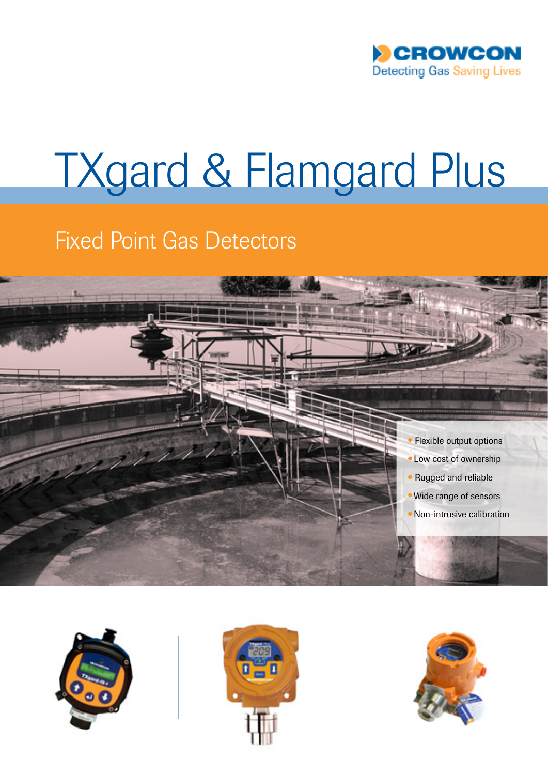

## TXgard & Flamgard Plus

## Fixed Point Gas Detectors







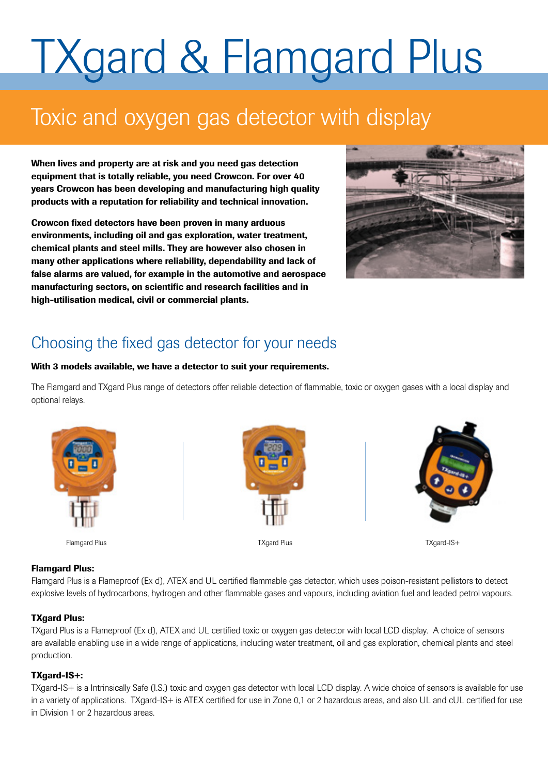# TXgard & Flamgard Plus

### Toxic and oxygen gas detector with display

When lives and property are at risk and you need gas detection equipment that is totally reliable, you need Crowcon. For over 40 years Crowcon has been developing and manufacturing high quality products with a reputation for reliability and technical innovation.

Crowcon fixed detectors have been proven in many arduous environments, including oil and gas exploration, water treatment, chemical plants and steel mills. They are however also chosen in many other applications where reliability, dependability and lack of false alarms are valued, for example in the automotive and aerospace manufacturing sectors, on scientific and research facilities and in high-utilisation medical, civil or commercial plants.



### Choosing the fixed gas detector for your needs

#### With 3 models available, we have a detector to suit your requirements.

The Flamgard and TXgard Plus range of detectors offer reliable detection of flammable, toxic or oxygen gases with a local display and optional relays.



Flamgard Plus TXgard Plus TXgard-IS+





#### Flamgard Plus:

Flamgard Plus is a Flameproof (Ex d), ATEX and UL certified flammable gas detector, which uses poison-resistant pellistors to detect explosive levels of hydrocarbons, hydrogen and other flammable gases and vapours, including aviation fuel and leaded petrol vapours.

#### TXgard Plus:

TXgard Plus is a Flameproof (Ex d), ATEX and UL certified toxic or oxygen gas detector with local LCD display. A choice of sensors are available enabling use in a wide range of applications, including water treatment, oil and gas exploration, chemical plants and steel production.

#### TXgard-IS+:

TXgard-IS+ is a Intrinsically Safe (I.S.) toxic and oxygen gas detector with local LCD display. A wide choice of sensors is available for use in a variety of applications. TXgard-IS+ is ATEX certified for use in Zone 0,1 or 2 hazardous areas, and also UL and cUL certified for use in Division 1 or 2 hazardous areas.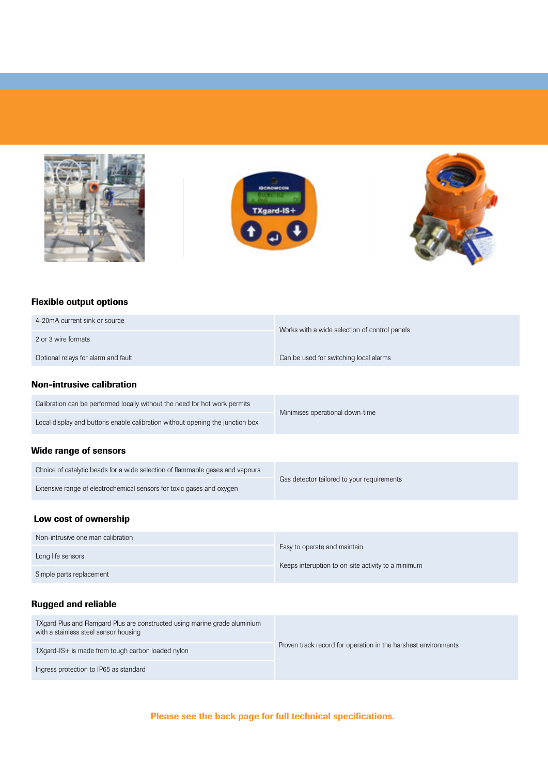





#### Flexible output options

| 4-20mA current sink or source       | Works with a wide selection of control panels |
|-------------------------------------|-----------------------------------------------|
| 2 or 3 wire formats                 |                                               |
| Optional relays for alarm and fault | Can be used for switching local alarms        |

#### Non-intrusive calibration

| Calibration can be performed locally without the need for hot work permits    | Minimises operational down-time |  |
|-------------------------------------------------------------------------------|---------------------------------|--|
| Local display and buttons enable calibration without opening the junction box |                                 |  |

#### Wide range of sensors

| Choice of catalytic beads for a wide selection of flammable gases and vapours |                                            |
|-------------------------------------------------------------------------------|--------------------------------------------|
| Extensive range of electrochemical sensors for toxic gases and oxygen         | Gas detector tailored to your requirements |
|                                                                               |                                            |

#### Low cost of ownership

| Non-intrusive one man calibration |                                                    |
|-----------------------------------|----------------------------------------------------|
| Long life sensors                 | Easy to operate and maintain                       |
| Simple parts replacement          | Keeps interuption to on-site activity to a minimum |

#### Rugged and reliable

| TXgard Plus and Flamgard Plus are constructed using marine grade aluminium<br>with a stainless steel sensor housing |                                                                |
|---------------------------------------------------------------------------------------------------------------------|----------------------------------------------------------------|
| TXgard-IS+ is made from tough carbon loaded nylon                                                                   | Proven track record for operation in the harshest environments |
| Ingress protection to IP65 as standard                                                                              |                                                                |

#### Please see the back page for full technical specifications.